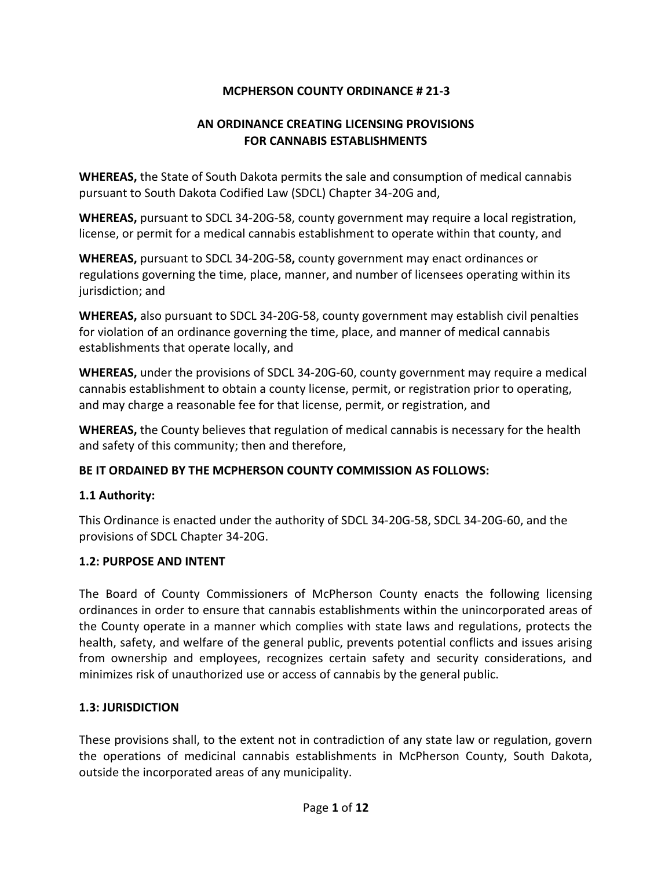## **MCPHERSON COUNTY ORDINANCE # 21-3**

### **AN ORDINANCE CREATING LICENSING PROVISIONS FOR CANNABIS ESTABLISHMENTS**

**WHEREAS,** the State of South Dakota permits the sale and consumption of medical cannabis pursuant to South Dakota Codified Law (SDCL) Chapter 34-20G and,

**WHEREAS,** pursuant to SDCL 34-20G-58, county government may require a local registration, license, or permit for a medical cannabis establishment to operate within that county, and

**WHEREAS,** pursuant to SDCL 34-20G-58**,** county government may enact ordinances or regulations governing the time, place, manner, and number of licensees operating within its jurisdiction; and

**WHEREAS,** also pursuant to SDCL 34-20G-58, county government may establish civil penalties for violation of an ordinance governing the time, place, and manner of medical cannabis establishments that operate locally, and

**WHEREAS,** under the provisions of SDCL 34-20G-60, county government may require a medical cannabis establishment to obtain a county license, permit, or registration prior to operating, and may charge a reasonable fee for that license, permit, or registration, and

**WHEREAS,** the County believes that regulation of medical cannabis is necessary for the health and safety of this community; then and therefore,

### **BE IT ORDAINED BY THE MCPHERSON COUNTY COMMISSION AS FOLLOWS:**

### **1.1 Authority:**

This Ordinance is enacted under the authority of SDCL 34-20G-58, SDCL 34-20G-60, and the provisions of SDCL Chapter 34-20G.

### **1.2: PURPOSE AND INTENT**

The Board of County Commissioners of McPherson County enacts the following licensing ordinances in order to ensure that cannabis establishments within the unincorporated areas of the County operate in a manner which complies with state laws and regulations, protects the health, safety, and welfare of the general public, prevents potential conflicts and issues arising from ownership and employees, recognizes certain safety and security considerations, and minimizes risk of unauthorized use or access of cannabis by the general public.

### **1.3: JURISDICTION**

These provisions shall, to the extent not in contradiction of any state law or regulation, govern the operations of medicinal cannabis establishments in McPherson County, South Dakota, outside the incorporated areas of any municipality.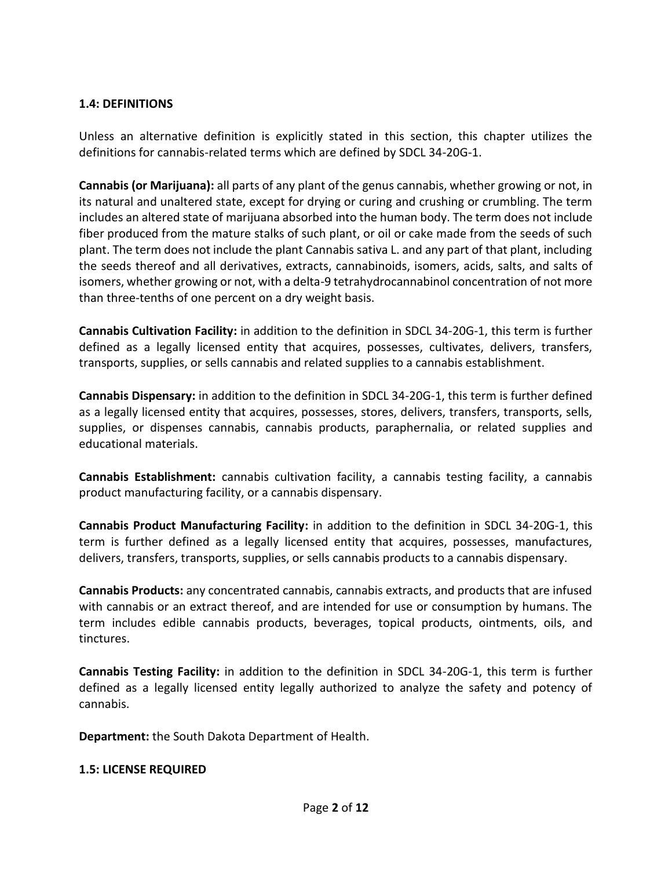#### **1.4: DEFINITIONS**

Unless an alternative definition is explicitly stated in this section, this chapter utilizes the definitions for cannabis-related terms which are defined by SDCL 34-20G-1.

**Cannabis (or Marijuana):** all parts of any plant of the genus cannabis, whether growing or not, in its natural and unaltered state, except for drying or curing and crushing or crumbling. The term includes an altered state of marijuana absorbed into the human body. The term does not include fiber produced from the mature stalks of such plant, or oil or cake made from the seeds of such plant. The term does not include the plant Cannabis sativa L. and any part of that plant, including the seeds thereof and all derivatives, extracts, cannabinoids, isomers, acids, salts, and salts of isomers, whether growing or not, with a delta-9 tetrahydrocannabinol concentration of not more than three-tenths of one percent on a dry weight basis.

**Cannabis Cultivation Facility:** in addition to the definition in SDCL 34-20G-1, this term is further defined as a legally licensed entity that acquires, possesses, cultivates, delivers, transfers, transports, supplies, or sells cannabis and related supplies to a cannabis establishment.

**Cannabis Dispensary:** in addition to the definition in SDCL 34-20G-1, this term is further defined as a legally licensed entity that acquires, possesses, stores, delivers, transfers, transports, sells, supplies, or dispenses cannabis, cannabis products, paraphernalia, or related supplies and educational materials.

**Cannabis Establishment:** cannabis cultivation facility, a cannabis testing facility, a cannabis product manufacturing facility, or a cannabis dispensary.

**Cannabis Product Manufacturing Facility:** in addition to the definition in SDCL 34-20G-1, this term is further defined as a legally licensed entity that acquires, possesses, manufactures, delivers, transfers, transports, supplies, or sells cannabis products to a cannabis dispensary.

**Cannabis Products:** any concentrated cannabis, cannabis extracts, and products that are infused with cannabis or an extract thereof, and are intended for use or consumption by humans. The term includes edible cannabis products, beverages, topical products, ointments, oils, and tinctures.

**Cannabis Testing Facility:** in addition to the definition in SDCL 34-20G-1, this term is further defined as a legally licensed entity legally authorized to analyze the safety and potency of cannabis.

**Department:** the South Dakota Department of Health.

#### **1.5: LICENSE REQUIRED**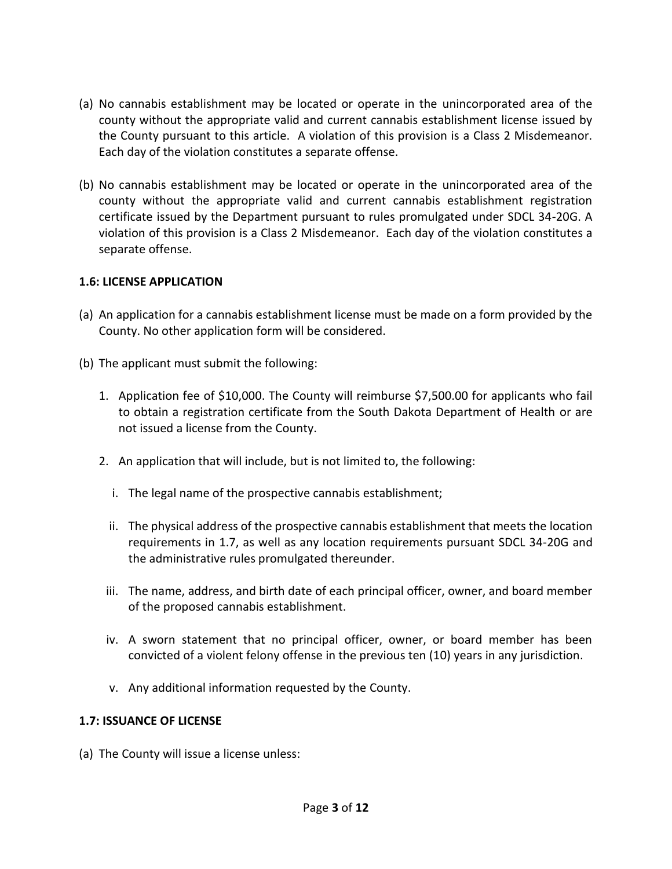- (a) No cannabis establishment may be located or operate in the unincorporated area of the county without the appropriate valid and current cannabis establishment license issued by the County pursuant to this article. A violation of this provision is a Class 2 Misdemeanor. Each day of the violation constitutes a separate offense.
- (b) No cannabis establishment may be located or operate in the unincorporated area of the county without the appropriate valid and current cannabis establishment registration certificate issued by the Department pursuant to rules promulgated under SDCL 34-20G. A violation of this provision is a Class 2 Misdemeanor. Each day of the violation constitutes a separate offense.

#### **1.6: LICENSE APPLICATION**

- (a) An application for a cannabis establishment license must be made on a form provided by the County. No other application form will be considered.
- (b) The applicant must submit the following:
	- 1. Application fee of \$10,000. The County will reimburse \$7,500.00 for applicants who fail to obtain a registration certificate from the South Dakota Department of Health or are not issued a license from the County.
	- 2. An application that will include, but is not limited to, the following:
		- i. The legal name of the prospective cannabis establishment;
		- ii. The physical address of the prospective cannabis establishment that meets the location requirements in 1.7, as well as any location requirements pursuant SDCL 34-20G and the administrative rules promulgated thereunder.
	- iii. The name, address, and birth date of each principal officer, owner, and board member of the proposed cannabis establishment.
	- iv. A sworn statement that no principal officer, owner, or board member has been convicted of a violent felony offense in the previous ten (10) years in any jurisdiction.
	- v. Any additional information requested by the County.

#### **1.7: ISSUANCE OF LICENSE**

(a) The County will issue a license unless: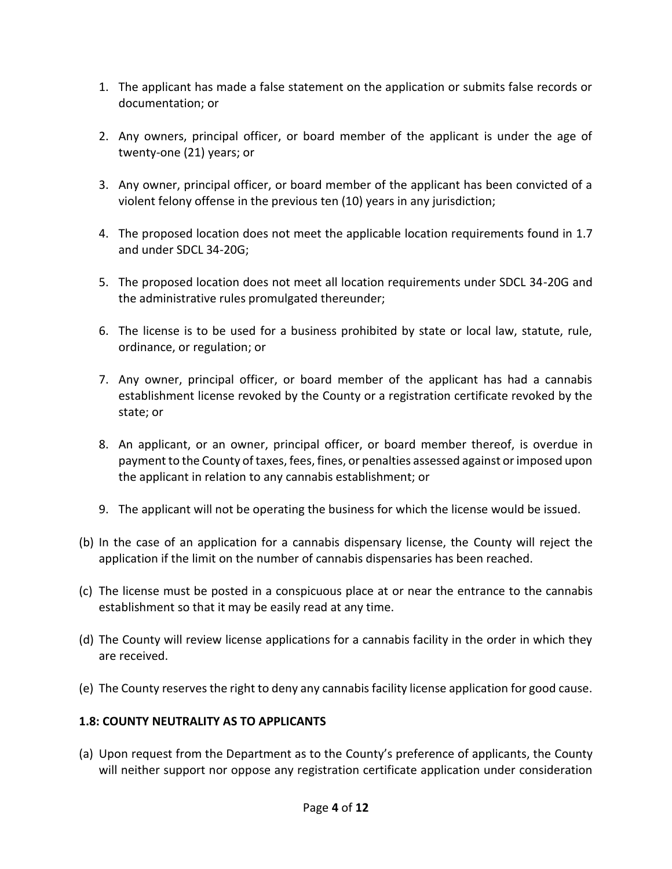- 1. The applicant has made a false statement on the application or submits false records or documentation; or
- 2. Any owners, principal officer, or board member of the applicant is under the age of twenty-one (21) years; or
- 3. Any owner, principal officer, or board member of the applicant has been convicted of a violent felony offense in the previous ten (10) years in any jurisdiction;
- 4. The proposed location does not meet the applicable location requirements found in 1.7 and under SDCL 34-20G;
- 5. The proposed location does not meet all location requirements under SDCL 34-20G and the administrative rules promulgated thereunder;
- 6. The license is to be used for a business prohibited by state or local law, statute, rule, ordinance, or regulation; or
- 7. Any owner, principal officer, or board member of the applicant has had a cannabis establishment license revoked by the County or a registration certificate revoked by the state; or
- 8. An applicant, or an owner, principal officer, or board member thereof, is overdue in payment to the County of taxes, fees, fines, or penalties assessed against or imposed upon the applicant in relation to any cannabis establishment; or
- 9. The applicant will not be operating the business for which the license would be issued.
- (b) In the case of an application for a cannabis dispensary license, the County will reject the application if the limit on the number of cannabis dispensaries has been reached.
- (c) The license must be posted in a conspicuous place at or near the entrance to the cannabis establishment so that it may be easily read at any time.
- (d) The County will review license applications for a cannabis facility in the order in which they are received.
- (e) The County reserves the right to deny any cannabis facility license application for good cause.

# **1.8: COUNTY NEUTRALITY AS TO APPLICANTS**

(a) Upon request from the Department as to the County's preference of applicants, the County will neither support nor oppose any registration certificate application under consideration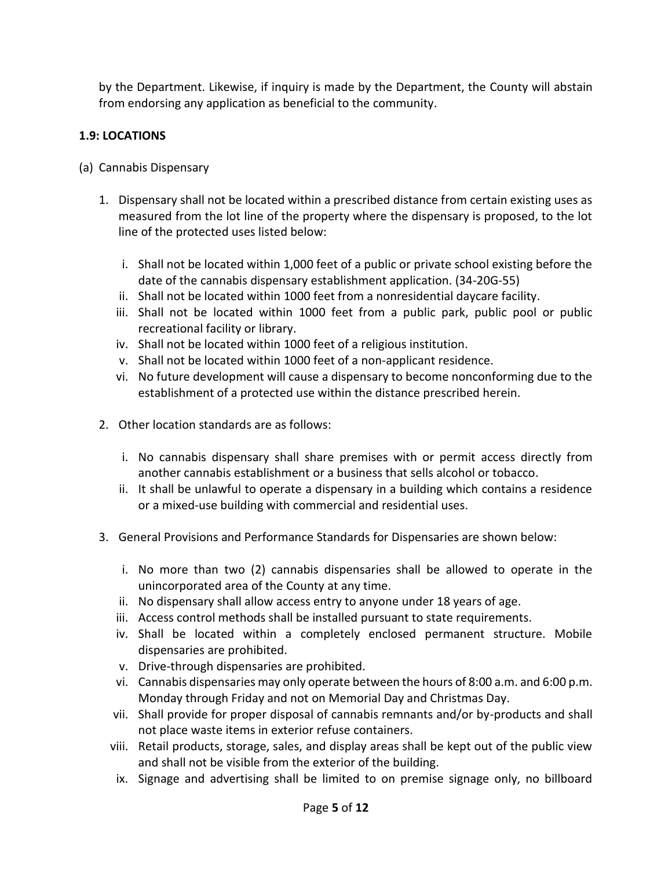by the Department. Likewise, if inquiry is made by the Department, the County will abstain from endorsing any application as beneficial to the community.

# **1.9: LOCATIONS**

- (a) Cannabis Dispensary
	- 1. Dispensary shall not be located within a prescribed distance from certain existing uses as measured from the lot line of the property where the dispensary is proposed, to the lot line of the protected uses listed below:
		- i. Shall not be located within 1,000 feet of a public or private school existing before the date of the cannabis dispensary establishment application. (34-20G-55)
		- ii. Shall not be located within 1000 feet from a nonresidential daycare facility.
		- iii. Shall not be located within 1000 feet from a public park, public pool or public recreational facility or library.
		- iv. Shall not be located within 1000 feet of a religious institution.
		- v. Shall not be located within 1000 feet of a non-applicant residence.
		- vi. No future development will cause a dispensary to become nonconforming due to the establishment of a protected use within the distance prescribed herein.
	- 2. Other location standards are as follows:
		- i. No cannabis dispensary shall share premises with or permit access directly from another cannabis establishment or a business that sells alcohol or tobacco.
		- ii. It shall be unlawful to operate a dispensary in a building which contains a residence or a mixed-use building with commercial and residential uses.
	- 3. General Provisions and Performance Standards for Dispensaries are shown below:
		- i. No more than two (2) cannabis dispensaries shall be allowed to operate in the unincorporated area of the County at any time.
		- ii. No dispensary shall allow access entry to anyone under 18 years of age.
		- iii. Access control methods shall be installed pursuant to state requirements.
		- iv. Shall be located within a completely enclosed permanent structure. Mobile dispensaries are prohibited.
		- v. Drive-through dispensaries are prohibited.
		- vi. Cannabis dispensaries may only operate between the hours of 8:00 a.m. and 6:00 p.m. Monday through Friday and not on Memorial Day and Christmas Day.
		- vii. Shall provide for proper disposal of cannabis remnants and/or by-products and shall not place waste items in exterior refuse containers.
		- viii. Retail products, storage, sales, and display areas shall be kept out of the public view and shall not be visible from the exterior of the building.
		- ix. Signage and advertising shall be limited to on premise signage only, no billboard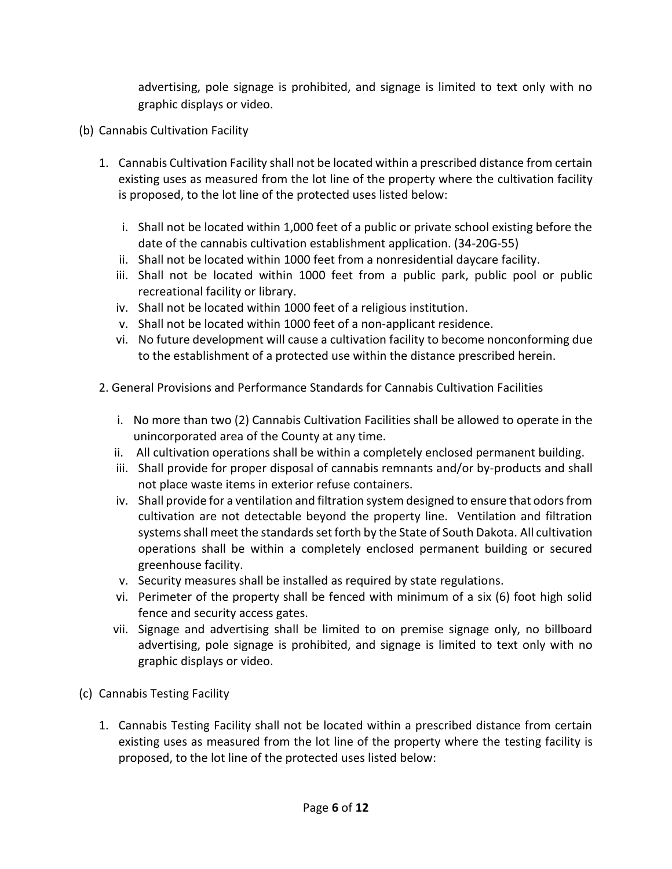advertising, pole signage is prohibited, and signage is limited to text only with no graphic displays or video.

- (b) Cannabis Cultivation Facility
	- 1. Cannabis Cultivation Facility shall not be located within a prescribed distance from certain existing uses as measured from the lot line of the property where the cultivation facility is proposed, to the lot line of the protected uses listed below:
		- i. Shall not be located within 1,000 feet of a public or private school existing before the date of the cannabis cultivation establishment application. (34-20G-55)
		- ii. Shall not be located within 1000 feet from a nonresidential daycare facility.
		- iii. Shall not be located within 1000 feet from a public park, public pool or public recreational facility or library.
		- iv. Shall not be located within 1000 feet of a religious institution.
		- v. Shall not be located within 1000 feet of a non-applicant residence.
		- vi. No future development will cause a cultivation facility to become nonconforming due to the establishment of a protected use within the distance prescribed herein.
	- 2. General Provisions and Performance Standards for Cannabis Cultivation Facilities
		- i. No more than two (2) Cannabis Cultivation Facilities shall be allowed to operate in the unincorporated area of the County at any time.
		- ii. All cultivation operations shall be within a completely enclosed permanent building.
		- iii. Shall provide for proper disposal of cannabis remnants and/or by-products and shall not place waste items in exterior refuse containers.
		- iv. Shall provide for a ventilation and filtration system designed to ensure that odors from cultivation are not detectable beyond the property line. Ventilation and filtration systems shall meet the standards set forth by the State of South Dakota. All cultivation operations shall be within a completely enclosed permanent building or secured greenhouse facility.
		- v. Security measures shall be installed as required by state regulations.
		- vi. Perimeter of the property shall be fenced with minimum of a six (6) foot high solid fence and security access gates.
		- vii. Signage and advertising shall be limited to on premise signage only, no billboard advertising, pole signage is prohibited, and signage is limited to text only with no graphic displays or video.
- (c) Cannabis Testing Facility
	- 1. Cannabis Testing Facility shall not be located within a prescribed distance from certain existing uses as measured from the lot line of the property where the testing facility is proposed, to the lot line of the protected uses listed below: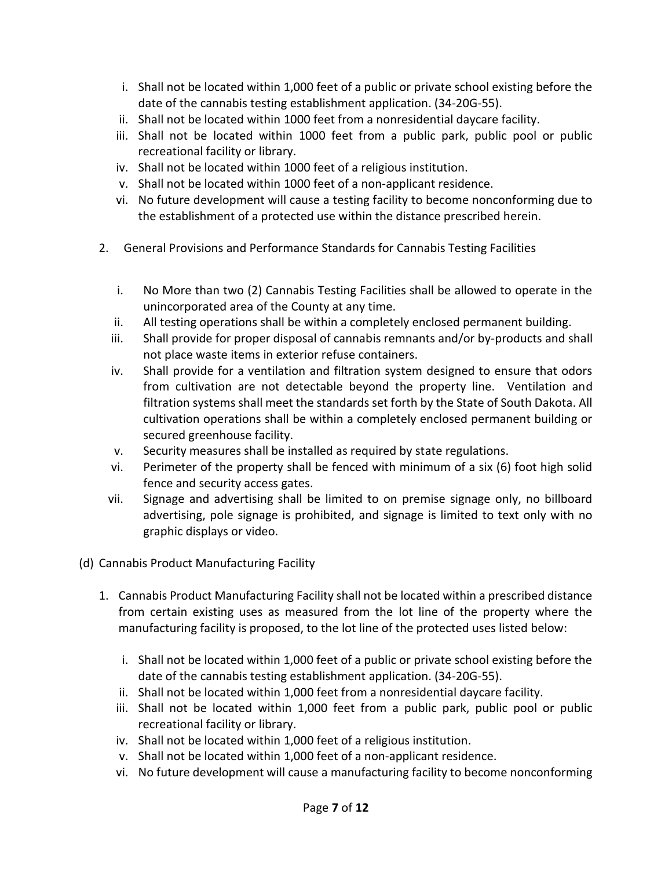- i. Shall not be located within 1,000 feet of a public or private school existing before the date of the cannabis testing establishment application. (34-20G-55).
- ii. Shall not be located within 1000 feet from a nonresidential daycare facility.
- iii. Shall not be located within 1000 feet from a public park, public pool or public recreational facility or library.
- iv. Shall not be located within 1000 feet of a religious institution.
- v. Shall not be located within 1000 feet of a non-applicant residence.
- vi. No future development will cause a testing facility to become nonconforming due to the establishment of a protected use within the distance prescribed herein.
- 2. General Provisions and Performance Standards for Cannabis Testing Facilities
	- i. No More than two (2) Cannabis Testing Facilities shall be allowed to operate in the unincorporated area of the County at any time.
	- ii. All testing operations shall be within a completely enclosed permanent building.
	- iii. Shall provide for proper disposal of cannabis remnants and/or by-products and shall not place waste items in exterior refuse containers.
	- iv. Shall provide for a ventilation and filtration system designed to ensure that odors from cultivation are not detectable beyond the property line. Ventilation and filtration systems shall meet the standards set forth by the State of South Dakota. All cultivation operations shall be within a completely enclosed permanent building or secured greenhouse facility.
	- v. Security measures shall be installed as required by state regulations.
	- vi. Perimeter of the property shall be fenced with minimum of a six (6) foot high solid fence and security access gates.
	- vii. Signage and advertising shall be limited to on premise signage only, no billboard advertising, pole signage is prohibited, and signage is limited to text only with no graphic displays or video.
- (d) Cannabis Product Manufacturing Facility
	- 1. Cannabis Product Manufacturing Facility shall not be located within a prescribed distance from certain existing uses as measured from the lot line of the property where the manufacturing facility is proposed, to the lot line of the protected uses listed below:
		- i. Shall not be located within 1,000 feet of a public or private school existing before the date of the cannabis testing establishment application. (34-20G-55).
		- ii. Shall not be located within 1,000 feet from a nonresidential daycare facility.
		- iii. Shall not be located within 1,000 feet from a public park, public pool or public recreational facility or library.
		- iv. Shall not be located within 1,000 feet of a religious institution.
		- v. Shall not be located within 1,000 feet of a non-applicant residence.
		- vi. No future development will cause a manufacturing facility to become nonconforming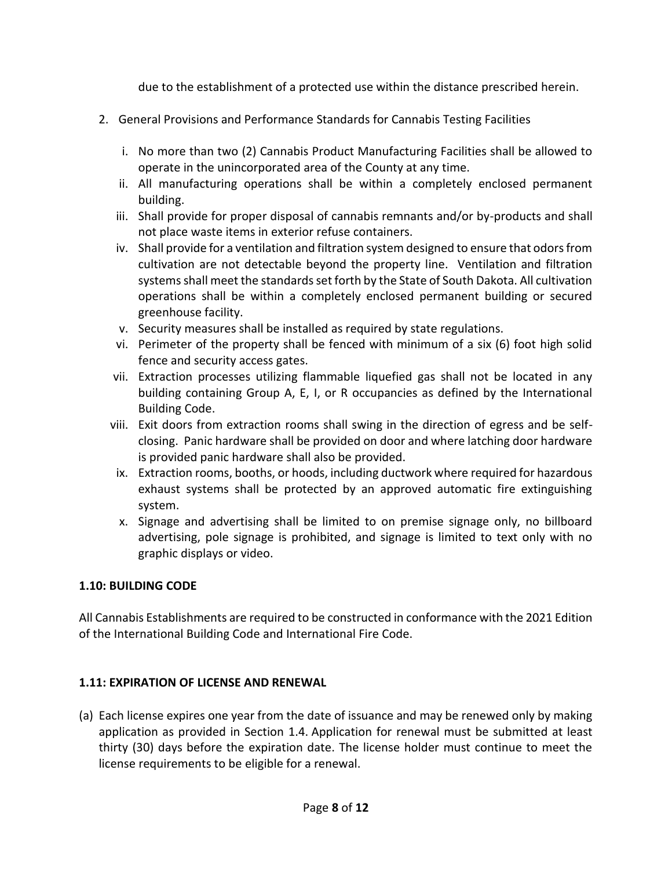due to the establishment of a protected use within the distance prescribed herein.

- 2. General Provisions and Performance Standards for Cannabis Testing Facilities
	- i. No more than two (2) Cannabis Product Manufacturing Facilities shall be allowed to operate in the unincorporated area of the County at any time.
	- ii. All manufacturing operations shall be within a completely enclosed permanent building.
	- iii. Shall provide for proper disposal of cannabis remnants and/or by-products and shall not place waste items in exterior refuse containers.
	- iv. Shall provide for a ventilation and filtration system designed to ensure that odors from cultivation are not detectable beyond the property line. Ventilation and filtration systems shall meet the standards set forth by the State of South Dakota. All cultivation operations shall be within a completely enclosed permanent building or secured greenhouse facility.
	- v. Security measures shall be installed as required by state regulations.
	- vi. Perimeter of the property shall be fenced with minimum of a six (6) foot high solid fence and security access gates.
	- vii. Extraction processes utilizing flammable liquefied gas shall not be located in any building containing Group A, E, I, or R occupancies as defined by the International Building Code.
	- viii. Exit doors from extraction rooms shall swing in the direction of egress and be selfclosing. Panic hardware shall be provided on door and where latching door hardware is provided panic hardware shall also be provided.
	- ix. Extraction rooms, booths, or hoods, including ductwork where required for hazardous exhaust systems shall be protected by an approved automatic fire extinguishing system.
	- x. Signage and advertising shall be limited to on premise signage only, no billboard advertising, pole signage is prohibited, and signage is limited to text only with no graphic displays or video.

# **1.10: BUILDING CODE**

All Cannabis Establishments are required to be constructed in conformance with the 2021 Edition of the International Building Code and International Fire Code.

### **1.11: EXPIRATION OF LICENSE AND RENEWAL**

(a) Each license expires one year from the date of issuance and may be renewed only by making application as provided in Section 1.4. Application for renewal must be submitted at least thirty (30) days before the expiration date. The license holder must continue to meet the license requirements to be eligible for a renewal.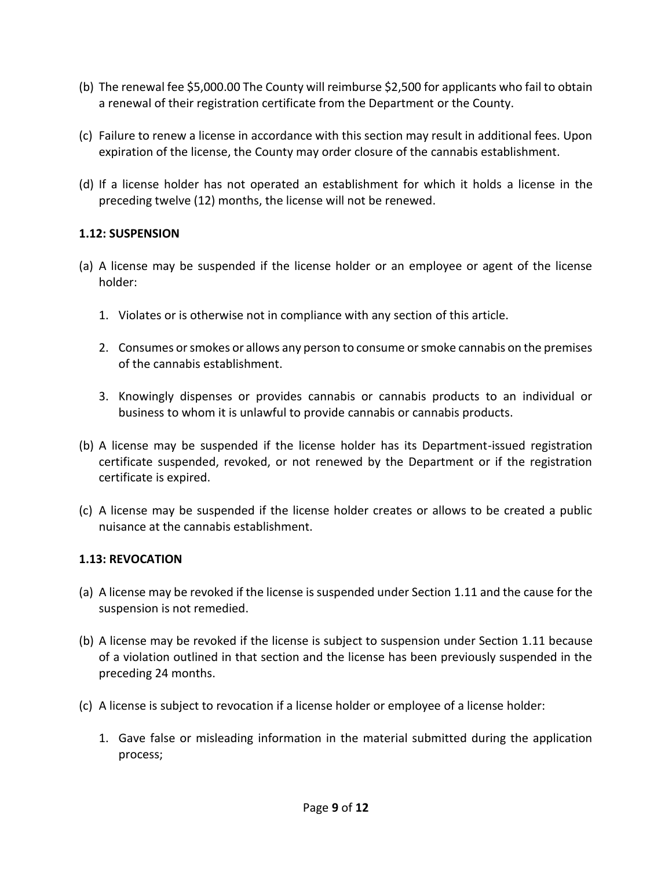- (b) The renewal fee \$5,000.00 The County will reimburse \$2,500 for applicants who fail to obtain a renewal of their registration certificate from the Department or the County.
- (c) Failure to renew a license in accordance with this section may result in additional fees. Upon expiration of the license, the County may order closure of the cannabis establishment.
- (d) If a license holder has not operated an establishment for which it holds a license in the preceding twelve (12) months, the license will not be renewed.

### **1.12: SUSPENSION**

- (a) A license may be suspended if the license holder or an employee or agent of the license holder:
	- 1. Violates or is otherwise not in compliance with any section of this article.
	- 2. Consumes or smokes or allows any person to consume or smoke cannabis on the premises of the cannabis establishment.
	- 3. Knowingly dispenses or provides cannabis or cannabis products to an individual or business to whom it is unlawful to provide cannabis or cannabis products.
- (b) A license may be suspended if the license holder has its Department-issued registration certificate suspended, revoked, or not renewed by the Department or if the registration certificate is expired.
- (c) A license may be suspended if the license holder creates or allows to be created a public nuisance at the cannabis establishment.

### **1.13: REVOCATION**

- (a) A license may be revoked if the license is suspended under Section 1.11 and the cause for the suspension is not remedied.
- (b) A license may be revoked if the license is subject to suspension under Section 1.11 because of a violation outlined in that section and the license has been previously suspended in the preceding 24 months.
- (c) A license is subject to revocation if a license holder or employee of a license holder:
	- 1. Gave false or misleading information in the material submitted during the application process;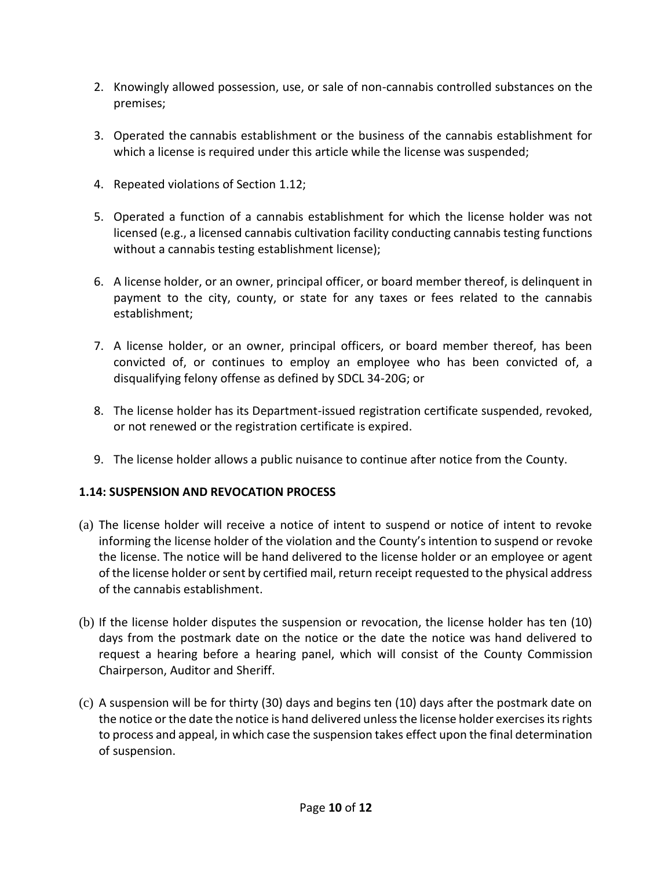- 2. Knowingly allowed possession, use, or sale of non-cannabis controlled substances on the premises;
- 3. Operated the cannabis establishment or the business of the cannabis establishment for which a license is required under this article while the license was suspended;
- 4. Repeated violations of Section 1.12;
- 5. Operated a function of a cannabis establishment for which the license holder was not licensed (e.g., a licensed cannabis cultivation facility conducting cannabis testing functions without a cannabis testing establishment license);
- 6. A license holder, or an owner, principal officer, or board member thereof, is delinquent in payment to the city, county, or state for any taxes or fees related to the cannabis establishment;
- 7. A license holder, or an owner, principal officers, or board member thereof, has been convicted of, or continues to employ an employee who has been convicted of, a disqualifying felony offense as defined by SDCL 34-20G; or
- 8. The license holder has its Department-issued registration certificate suspended, revoked, or not renewed or the registration certificate is expired.
- 9. The license holder allows a public nuisance to continue after notice from the County.

### **1.14: SUSPENSION AND REVOCATION PROCESS**

- (a) The license holder will receive a notice of intent to suspend or notice of intent to revoke informing the license holder of the violation and the County's intention to suspend or revoke the license. The notice will be hand delivered to the license holder or an employee or agent of the license holder or sent by certified mail, return receipt requested to the physical address of the cannabis establishment.
- (b) If the license holder disputes the suspension or revocation, the license holder has ten (10) days from the postmark date on the notice or the date the notice was hand delivered to request a hearing before a hearing panel, which will consist of the County Commission Chairperson, Auditor and Sheriff.
- (c) A suspension will be for thirty (30) days and begins ten (10) days after the postmark date on the notice or the date the notice is hand delivered unless the license holder exercises its rights to process and appeal, in which case the suspension takes effect upon the final determination of suspension.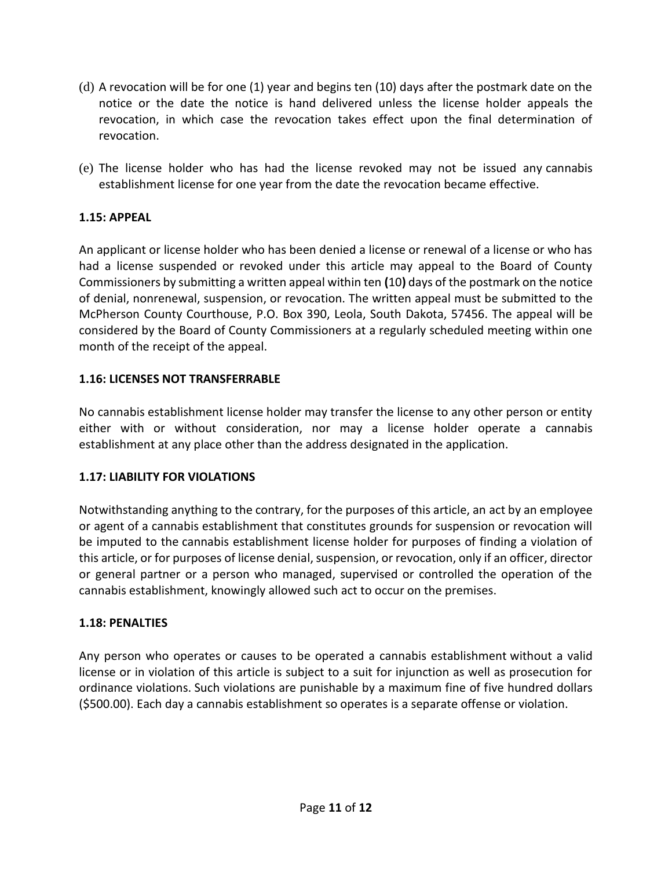- (d) A revocation will be for one (1) year and begins ten (10) days after the postmark date on the notice or the date the notice is hand delivered unless the license holder appeals the revocation, in which case the revocation takes effect upon the final determination of revocation.
- (e) The license holder who has had the license revoked may not be issued any cannabis establishment license for one year from the date the revocation became effective.

## **1.15: APPEAL**

An applicant or license holder who has been denied a license or renewal of a license or who has had a license suspended or revoked under this article may appeal to the Board of County Commissioners by submitting a written appeal within ten **(**10**)** days of the postmark on the notice of denial, nonrenewal, suspension, or revocation. The written appeal must be submitted to the McPherson County Courthouse, P.O. Box 390, Leola, South Dakota, 57456. The appeal will be considered by the Board of County Commissioners at a regularly scheduled meeting within one month of the receipt of the appeal.

### **1.16: LICENSES NOT TRANSFERRABLE**

No cannabis establishment license holder may transfer the license to any other person or entity either with or without consideration, nor may a license holder operate a cannabis establishment at any place other than the address designated in the application.

### **1.17: LIABILITY FOR VIOLATIONS**

Notwithstanding anything to the contrary, for the purposes of this article, an act by an employee or agent of a cannabis establishment that constitutes grounds for suspension or revocation will be imputed to the cannabis establishment license holder for purposes of finding a violation of this article, or for purposes of license denial, suspension, or revocation, only if an officer, director or general partner or a person who managed, supervised or controlled the operation of the cannabis establishment, knowingly allowed such act to occur on the premises.

### **1.18: PENALTIES**

Any person who operates or causes to be operated a cannabis establishment without a valid license or in violation of this article is subject to a suit for injunction as well as prosecution for ordinance violations. Such violations are punishable by a maximum fine of five hundred dollars (\$500.00). Each day a cannabis establishment so operates is a separate offense or violation.